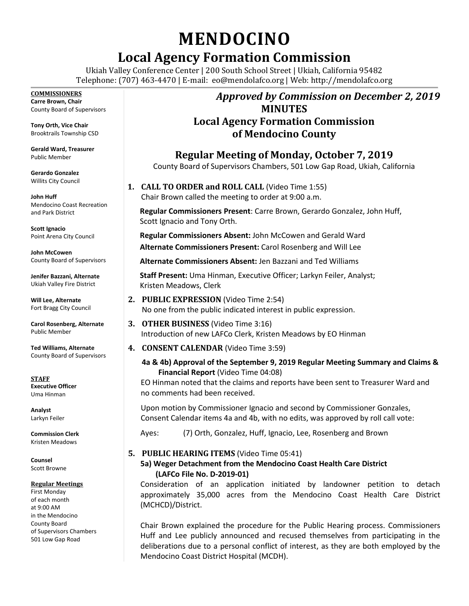# **MENDOCINO**

## **Local Agency Formation Commission**

Ukiah Valley Conference Center | 200 South School Street | Ukiah, California 95482 Telephone: (707) 463-4470 | E-mail: [eo@mendolafco.org](mailto:eo@mendolafco.org) | Web: http://mendolafco.org

#### **COMMISSIONERS**

**Carre Brown, Chair** County Board of Supervisors

**Tony Orth, Vice Chair** Brooktrails Township CSD

**Gerald Ward, Treasurer** Public Member

**Gerardo Gonzalez** Willits City Council

**John Huff**  Mendocino Coast Recreation and Park District

**Scott Ignacio** Point Arena City Council

**John McCowen** County Board of Supervisors

**Jenifer Bazzani, Alternate** Ukiah Valley Fire District

**Will Lee, Alternate** Fort Bragg City Council

**Carol Rosenberg, Alternate** Public Member

**Ted Williams, Alternate** County Board of Supervisors

**STAFF Executive Officer** Uma Hinman

**Analyst** Larkyn Feiler

**Commission Clerk** Kristen Meadows

**Counsel** Scott Browne

#### **Regular Meetings**

First Monday of each month at 9:00 AM in the Mendocino County Board of Supervisors Chambers 501 Low Gap Road

### *Approved by Commission on December 2, 2019* **MINUTES Local Agency Formation Commission of Mendocino County**

**Regular Meeting of Monday, October 7, 2019**

County Board of Supervisors Chambers, 501 Low Gap Road, Ukiah, California

**1. CALL TO ORDER and ROLL CALL** (Video Time 1:55) Chair Brown called the meeting to order at 9:00 a.m.

**Regular Commissioners Present**: Carre Brown, Gerardo Gonzalez, John Huff, Scott Ignacio and Tony Orth.

**Regular Commissioners Absent:** John McCowen and Gerald Ward **Alternate Commissioners Present:** Carol Rosenberg and Will Lee

**Alternate Commissioners Absent:** Jen Bazzani and Ted Williams

**Staff Present:** Uma Hinman, Executive Officer; Larkyn Feiler, Analyst; Kristen Meadows, Clerk

- **2. PUBLIC EXPRESSION** (Video Time 2:54) No one from the public indicated interest in public expression.
- **3. OTHER BUSINESS** (Video Time 3:16) Introduction of new LAFCo Clerk, Kristen Meadows by EO Hinman
- **4. CONSENT CALENDAR** (Video Time 3:59)

#### **4a & 4b) Approval of the September 9, 2019 Regular Meeting Summary and Claims & Financial Report** (Video Time 04:08)

EO Hinman noted that the claims and reports have been sent to Treasurer Ward and no comments had been received.

Upon motion by Commissioner Ignacio and second by Commissioner Gonzales, Consent Calendar items 4a and 4b, with no edits, was approved by roll call vote:

Ayes: (7) Orth, Gonzalez, Huff, Ignacio, Lee, Rosenberg and Brown

#### **5. PUBLIC HEARING ITEMS** (Video Time 05:41)

#### **5a) Weger Detachment from the Mendocino Coast Health Care District (LAFCo File No. D-2019-01)**

Consideration of an application initiated by landowner petition to detach approximately 35,000 acres from the Mendocino Coast Health Care District (MCHCD)/District.

Chair Brown explained the procedure for the Public Hearing process. Commissioners Huff and Lee publicly announced and recused themselves from participating in the deliberations due to a personal conflict of interest, as they are both employed by the Mendocino Coast District Hospital (MCDH).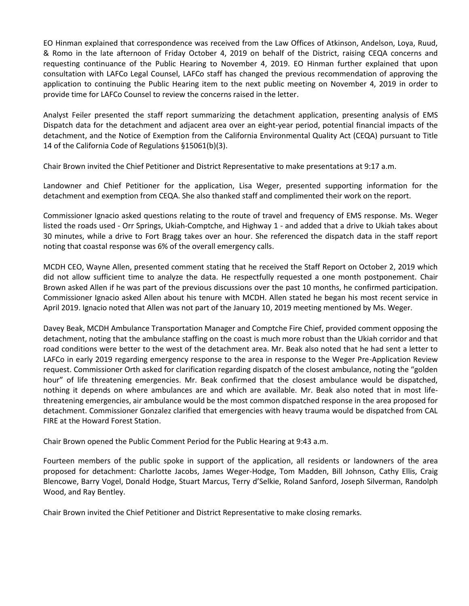EO Hinman explained that correspondence was received from the Law Offices of Atkinson, Andelson, Loya, Ruud, & Romo in the late afternoon of Friday October 4, 2019 on behalf of the District, raising CEQA concerns and requesting continuance of the Public Hearing to November 4, 2019. EO Hinman further explained that upon consultation with LAFCo Legal Counsel, LAFCo staff has changed the previous recommendation of approving the application to continuing the Public Hearing item to the next public meeting on November 4, 2019 in order to provide time for LAFCo Counsel to review the concerns raised in the letter.

Analyst Feiler presented the staff report summarizing the detachment application, presenting analysis of EMS Dispatch data for the detachment and adjacent area over an eight-year period, potential financial impacts of the detachment, and the Notice of Exemption from the California Environmental Quality Act (CEQA) pursuant to Title 14 of the California Code of Regulations §15061(b)(3).

Chair Brown invited the Chief Petitioner and District Representative to make presentations at 9:17 a.m.

Landowner and Chief Petitioner for the application, Lisa Weger, presented supporting information for the detachment and exemption from CEQA. She also thanked staff and complimented their work on the report.

Commissioner Ignacio asked questions relating to the route of travel and frequency of EMS response. Ms. Weger listed the roads used - Orr Springs, Ukiah-Comptche, and Highway 1 - and added that a drive to Ukiah takes about 30 minutes, while a drive to Fort Bragg takes over an hour. She referenced the dispatch data in the staff report noting that coastal response was 6% of the overall emergency calls.

MCDH CEO, Wayne Allen, presented comment stating that he received the Staff Report on October 2, 2019 which did not allow sufficient time to analyze the data. He respectfully requested a one month postponement. Chair Brown asked Allen if he was part of the previous discussions over the past 10 months, he confirmed participation. Commissioner Ignacio asked Allen about his tenure with MCDH. Allen stated he began his most recent service in April 2019. Ignacio noted that Allen was not part of the January 10, 2019 meeting mentioned by Ms. Weger.

Davey Beak, MCDH Ambulance Transportation Manager and Comptche Fire Chief, provided comment opposing the detachment, noting that the ambulance staffing on the coast is much more robust than the Ukiah corridor and that road conditions were better to the west of the detachment area. Mr. Beak also noted that he had sent a letter to LAFCo in early 2019 regarding emergency response to the area in response to the Weger Pre-Application Review request. Commissioner Orth asked for clarification regarding dispatch of the closest ambulance, noting the "golden hour" of life threatening emergencies. Mr. Beak confirmed that the closest ambulance would be dispatched, nothing it depends on where ambulances are and which are available. Mr. Beak also noted that in most lifethreatening emergencies, air ambulance would be the most common dispatched response in the area proposed for detachment. Commissioner Gonzalez clarified that emergencies with heavy trauma would be dispatched from CAL FIRE at the Howard Forest Station.

Chair Brown opened the Public Comment Period for the Public Hearing at 9:43 a.m.

Fourteen members of the public spoke in support of the application, all residents or landowners of the area proposed for detachment: Charlotte Jacobs, James Weger-Hodge, Tom Madden, Bill Johnson, Cathy Ellis, Craig Blencowe, Barry Vogel, Donald Hodge, Stuart Marcus, Terry d'Selkie, Roland Sanford, Joseph Silverman, Randolph Wood, and Ray Bentley.

Chair Brown invited the Chief Petitioner and District Representative to make closing remarks.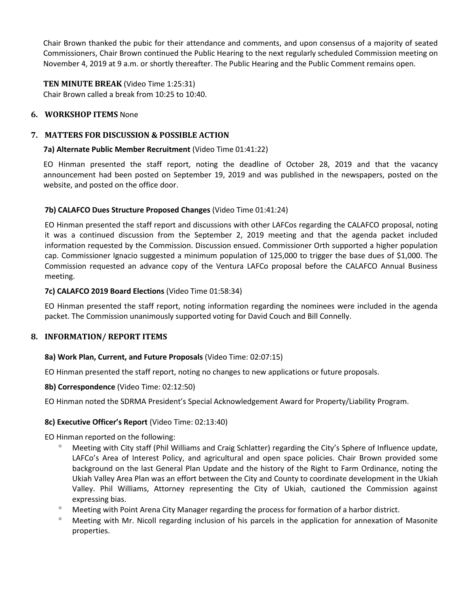Chair Brown thanked the pubic for their attendance and comments, and upon consensus of a majority of seated Commissioners, Chair Brown continued the Public Hearing to the next regularly scheduled Commission meeting on November 4, 2019 at 9 a.m. or shortly thereafter. The Public Hearing and the Public Comment remains open.

**TEN MINUTE BREAK** (Video Time 1:25:31) Chair Brown called a break from 10:25 to 10:40.

#### **6. WORKSHOP ITEMS** None

#### **7. MATTERS FOR DISCUSSION & POSSIBLE ACTION**

#### **7a) Alternate Public Member Recruitment** (Video Time 01:41:22)

EO Hinman presented the staff report, noting the deadline of October 28, 2019 and that the vacancy announcement had been posted on September 19, 2019 and was published in the newspapers, posted on the website, and posted on the office door.

#### **7b) CALAFCO Dues Structure Proposed Changes** (Video Time 01:41:24)

EO Hinman presented the staff report and discussions with other LAFCos regarding the CALAFCO proposal, noting it was a continued discussion from the September 2, 2019 meeting and that the agenda packet included information requested by the Commission. Discussion ensued. Commissioner Orth supported a higher population cap. Commissioner Ignacio suggested a minimum population of 125,000 to trigger the base dues of \$1,000. The Commission requested an advance copy of the Ventura LAFCo proposal before the CALAFCO Annual Business meeting.

#### **7c) CALAFCO 2019 Board Elections** (Video Time 01:58:34)

EO Hinman presented the staff report, noting information regarding the nominees were included in the agenda packet. The Commission unanimously supported voting for David Couch and Bill Connelly.

#### **8. INFORMATION/ REPORT ITEMS**

#### **8a) Work Plan, Current, and Future Proposals** (Video Time: 02:07:15)

EO Hinman presented the staff report, noting no changes to new applications or future proposals.

#### **8b) Correspondence** (Video Time: 02:12:50)

EO Hinman noted the SDRMA President's Special Acknowledgement Award for Property/Liability Program.

#### **8c) Executive Officer's Report** (Video Time: 02:13:40)

EO Hinman reported on the following:

- Meeting with City staff (Phil Williams and Craig Schlatter) regarding the City's Sphere of Influence update, LAFCo's Area of Interest Policy, and agricultural and open space policies. Chair Brown provided some background on the last General Plan Update and the history of the Right to Farm Ordinance, noting the Ukiah Valley Area Plan was an effort between the City and County to coordinate development in the Ukiah Valley. Phil Williams, Attorney representing the City of Ukiah, cautioned the Commission against expressing bias.
- $\degree$  Meeting with Point Arena City Manager regarding the process for formation of a harbor district.
- Meeting with Mr. Nicoll regarding inclusion of his parcels in the application for annexation of Masonite properties.